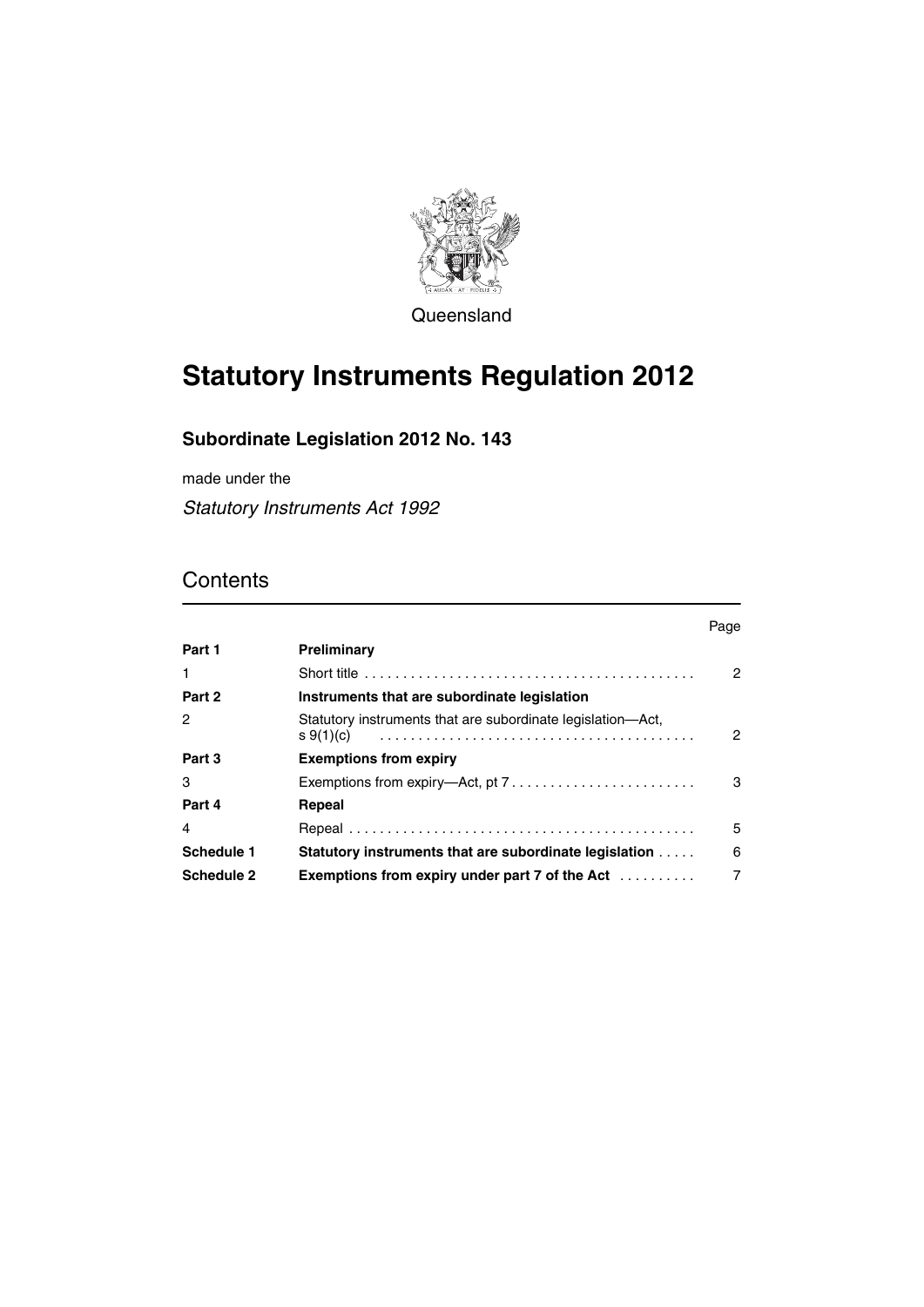

Queensland

# **Statutory Instruments Regulation 2012**

### **Subordinate Legislation 2012 No. 143**

made under the

*Statutory Instruments Act 1992*

### **Contents**

|            |                                                                                    | Page |
|------------|------------------------------------------------------------------------------------|------|
| Part 1     | Preliminary                                                                        |      |
| 1          |                                                                                    | 2    |
| Part 2     | Instruments that are subordinate legislation                                       |      |
| 2          | Statutory instruments that are subordinate legislation—Act,<br>s(1)(c)             | 2    |
| Part 3     | <b>Exemptions from expiry</b>                                                      |      |
| 3          | Exemptions from expiry—Act, pt $7, \ldots, \ldots, \ldots, \ldots, \ldots, \ldots$ | 3    |
| Part 4     | Repeal                                                                             |      |
| 4          |                                                                                    | 5    |
| Schedule 1 | <b>Statutory instruments that are subordinate legislation </b>                     | 6    |
| Schedule 2 | Exemptions from expiry under part $7$ of the Act $\ldots \ldots \ldots$            | 7    |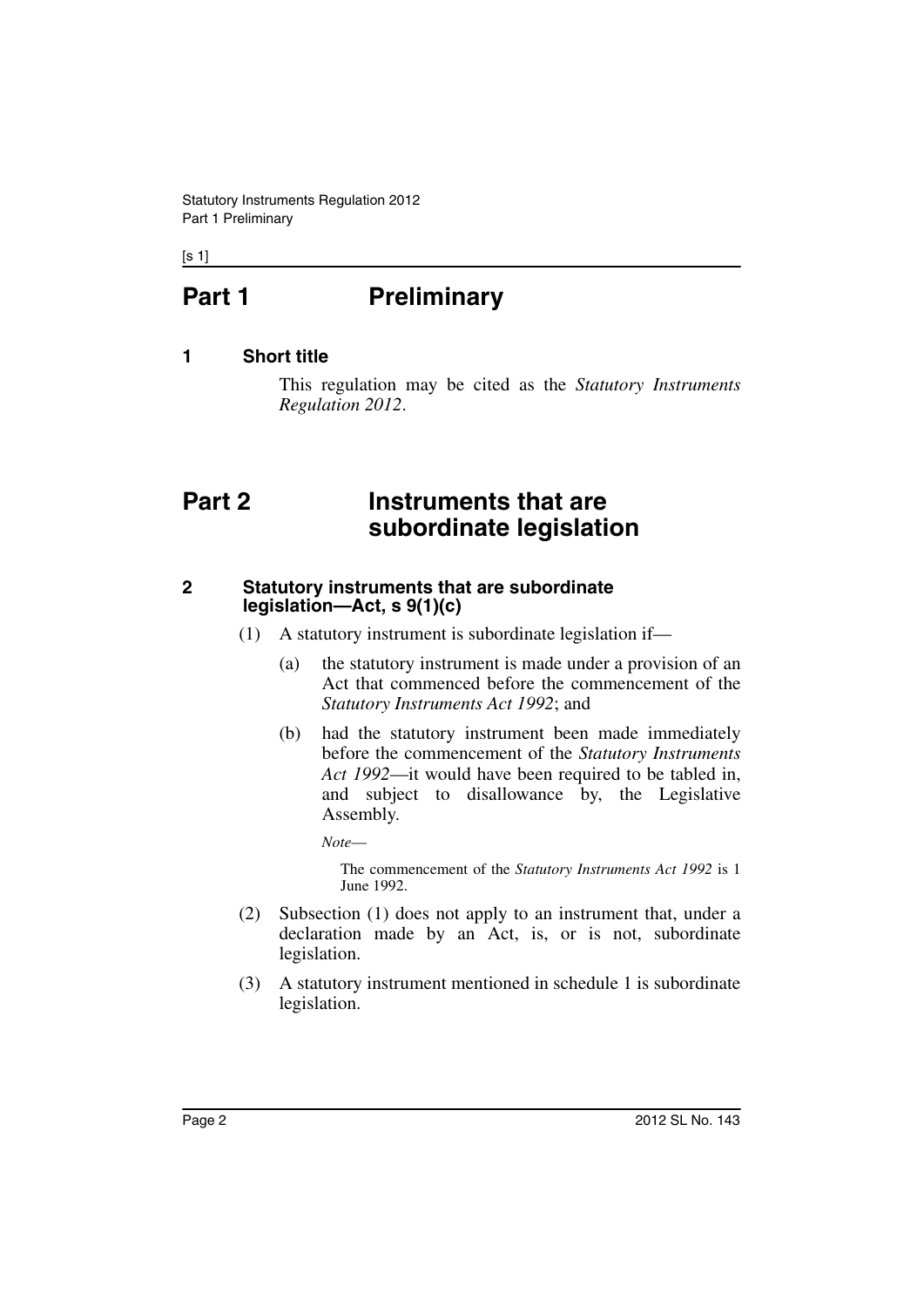$[s 1]$ 

## <span id="page-1-0"></span>**Part 1** Preliminary

#### <span id="page-1-1"></span>**1 Short title**

This regulation may be cited as the *Statutory Instruments Regulation 2012*.

### <span id="page-1-2"></span>**Part 2 Instruments that are subordinate legislation**

#### <span id="page-1-3"></span>**2 Statutory instruments that are subordinate legislation—Act, s 9(1)(c)**

- (1) A statutory instrument is subordinate legislation if—
	- (a) the statutory instrument is made under a provision of an Act that commenced before the commencement of the *Statutory Instruments Act 1992*; and
	- (b) had the statutory instrument been made immediately before the commencement of the *Statutory Instruments Act 1992*—it would have been required to be tabled in, and subject to disallowance by, the Legislative Assembly.

*Note*—

The commencement of the *Statutory Instruments Act 1992* is 1 June 1992.

- (2) Subsection (1) does not apply to an instrument that, under a declaration made by an Act, is, or is not, subordinate legislation.
- (3) A statutory instrument mentioned in schedule 1 is subordinate legislation.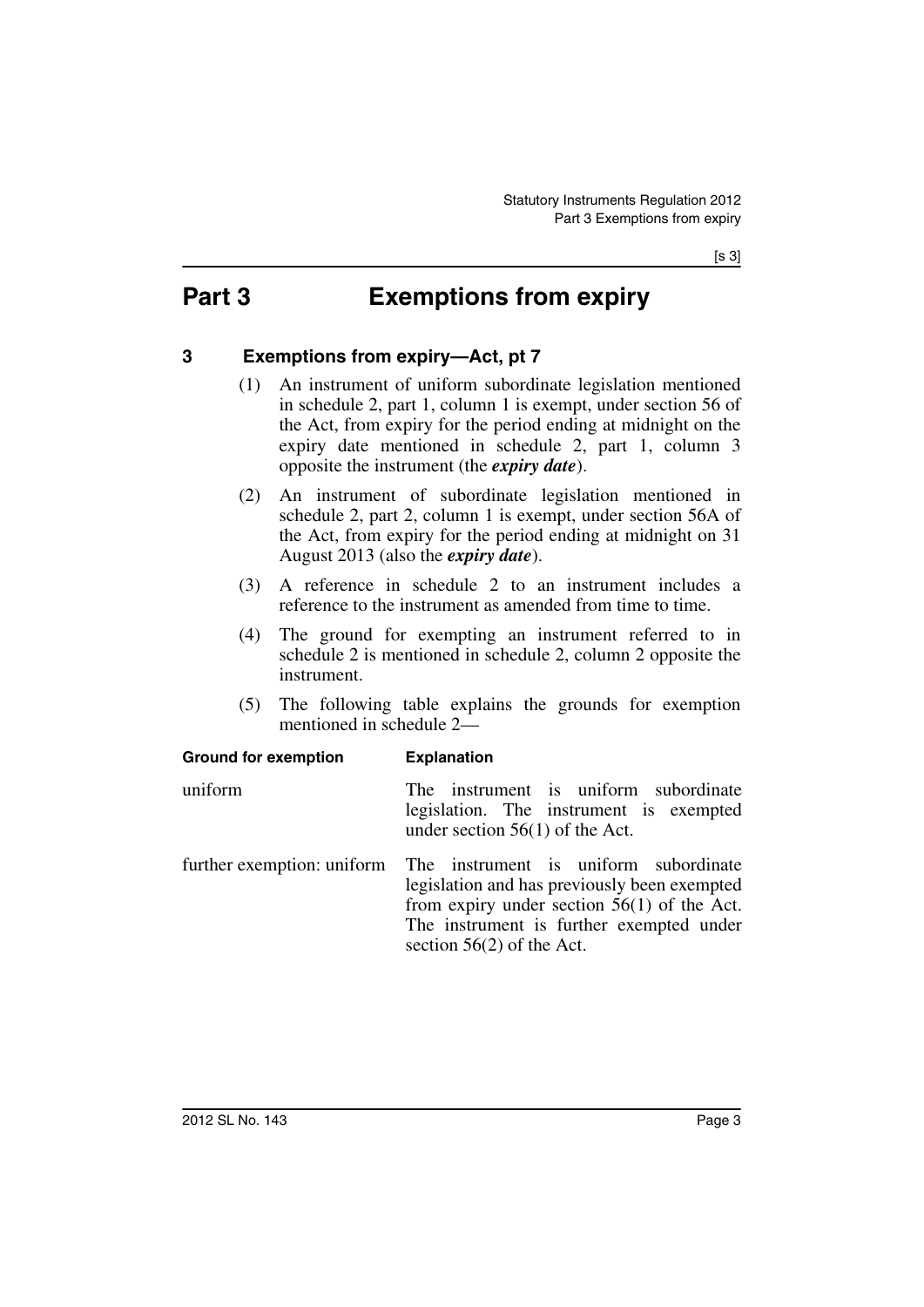## <span id="page-2-0"></span>**Part 3 Exemptions from expiry**

#### <span id="page-2-1"></span>**3 Exemptions from expiry—Act, pt 7**

**Ground for exemption Explanation**

- (1) An instrument of uniform subordinate legislation mentioned in schedule 2, part 1, column 1 is exempt, under section 56 of the Act, from expiry for the period ending at midnight on the expiry date mentioned in schedule 2, part 1, column 3 opposite the instrument (the *expiry date*).
- (2) An instrument of subordinate legislation mentioned in schedule 2, part 2, column 1 is exempt, under section 56A of the Act, from expiry for the period ending at midnight on 31 August 2013 (also the *expiry date*).
- (3) A reference in schedule 2 to an instrument includes a reference to the instrument as amended from time to time.
- (4) The ground for exempting an instrument referred to in schedule 2 is mentioned in schedule 2, column 2 opposite the instrument.
- (5) The following table explains the grounds for exemption mentioned in schedule 2—

| <b>DIVILIU IUI CACIIIUIUII</b> | LAPIQUQUUI                                                                                                                                                                                                                                   |
|--------------------------------|----------------------------------------------------------------------------------------------------------------------------------------------------------------------------------------------------------------------------------------------|
| uniform                        | The instrument is uniform subordinate<br>legislation. The instrument is exempted<br>under section $56(1)$ of the Act.                                                                                                                        |
|                                | further exemption: uniform The instrument is uniform subordinate<br>legislation and has previously been exempted<br>from expiry under section $56(1)$ of the Act.<br>The instrument is further exempted under<br>section $56(2)$ of the Act. |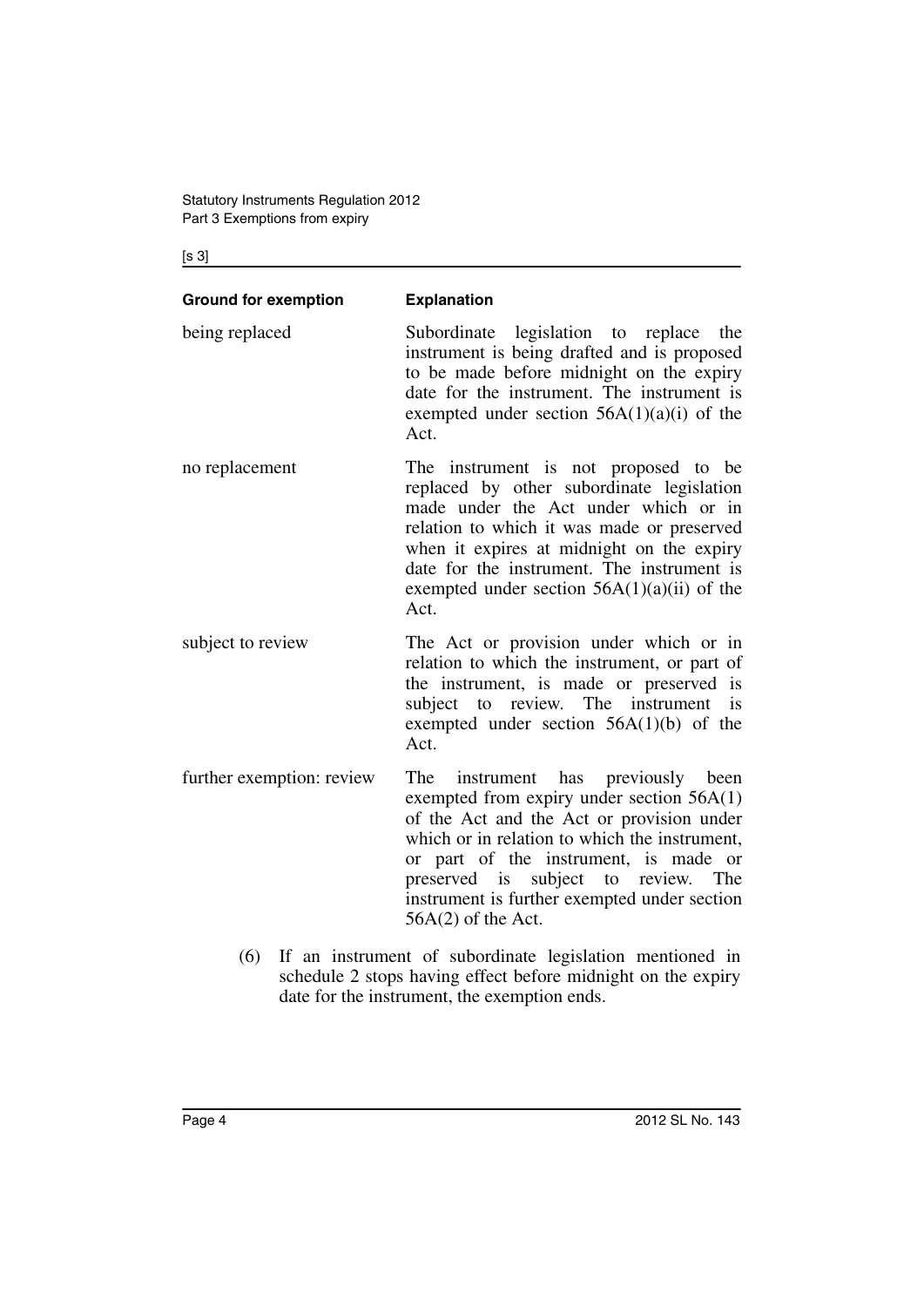[s 3]

| <b>Ground for exemption</b> | <b>Explanation</b>                                                                                                                                                                                                                                                                                                                          |
|-----------------------------|---------------------------------------------------------------------------------------------------------------------------------------------------------------------------------------------------------------------------------------------------------------------------------------------------------------------------------------------|
| being replaced              | Subordinate legislation to replace<br>the<br>instrument is being drafted and is proposed<br>to be made before midnight on the expiry<br>date for the instrument. The instrument is<br>exempted under section $56A(1)(a)(i)$ of the<br>Act.                                                                                                  |
| no replacement              | The instrument is not proposed to be<br>replaced by other subordinate legislation<br>made under the Act under which or in<br>relation to which it was made or preserved<br>when it expires at midnight on the expiry<br>date for the instrument. The instrument is<br>exempted under section $56A(1)(a)(ii)$ of the<br>Act.                 |
| subject to review           | The Act or provision under which or in<br>relation to which the instrument, or part of<br>the instrument, is made or preserved is<br>subject to review. The instrument<br><i>is</i><br>exempted under section $56A(1)(b)$ of the<br>Act.                                                                                                    |
| further exemption: review   | instrument has previously been<br>The<br>exempted from expiry under section 56A(1)<br>of the Act and the Act or provision under<br>which or in relation to which the instrument,<br>or part of the instrument, is made or<br>preserved is subject to review.<br>The<br>instrument is further exempted under section<br>$56A(2)$ of the Act. |

(6) If an instrument of subordinate legislation mentioned in schedule 2 stops having effect before midnight on the expiry date for the instrument, the exemption ends.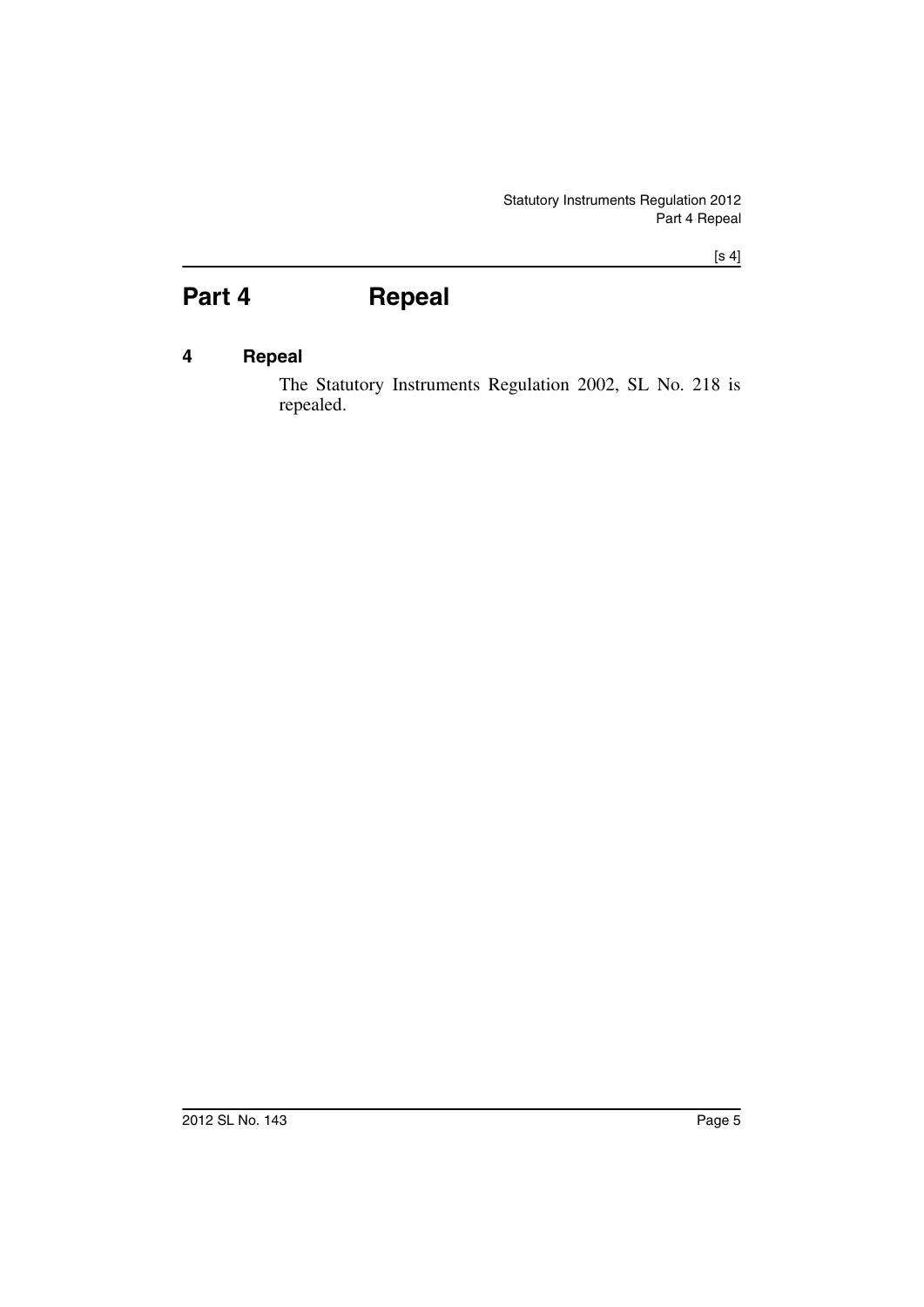## <span id="page-4-0"></span>**Part 4 Repeal**

#### <span id="page-4-1"></span>**4 Repeal**

The Statutory Instruments Regulation 2002, SL No. 218 is repealed.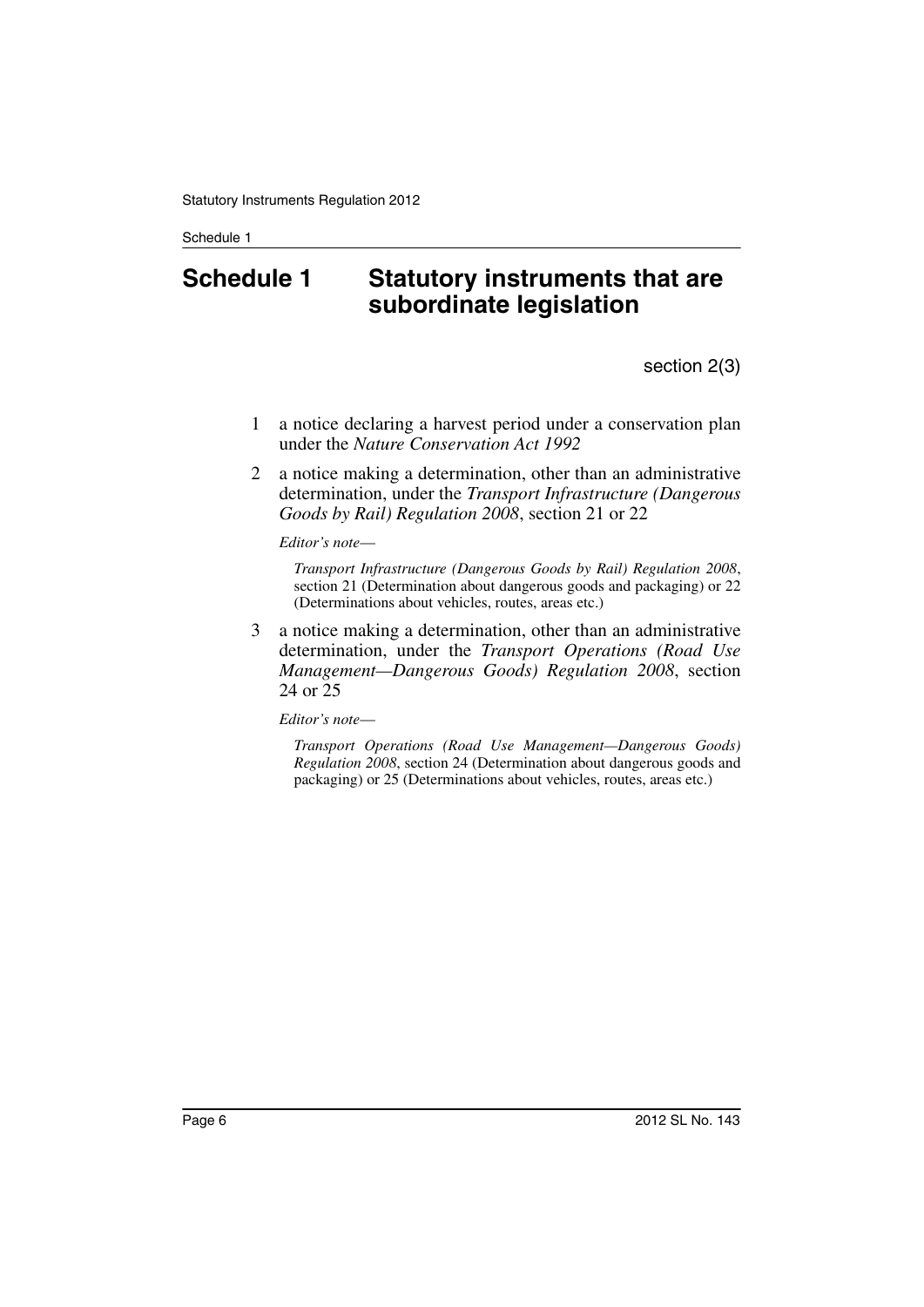### <span id="page-5-0"></span>**Schedule 1 Statutory instruments that are subordinate legislation**

section 2(3)

- 1 a notice declaring a harvest period under a conservation plan under the *Nature Conservation Act 1992*
- 2 a notice making a determination, other than an administrative determination, under the *Transport Infrastructure (Dangerous Goods by Rail) Regulation 2008*, section 21 or 22

*Editor's note*—

*Transport Infrastructure (Dangerous Goods by Rail) Regulation 2008*, section 21 (Determination about dangerous goods and packaging) or 22 (Determinations about vehicles, routes, areas etc.)

3 a notice making a determination, other than an administrative determination, under the *Transport Operations (Road Use Management—Dangerous Goods) Regulation 2008*, section 24 or 25

*Editor's note*—

*Transport Operations (Road Use Management—Dangerous Goods) Regulation 2008*, section 24 (Determination about dangerous goods and packaging) or 25 (Determinations about vehicles, routes, areas etc.)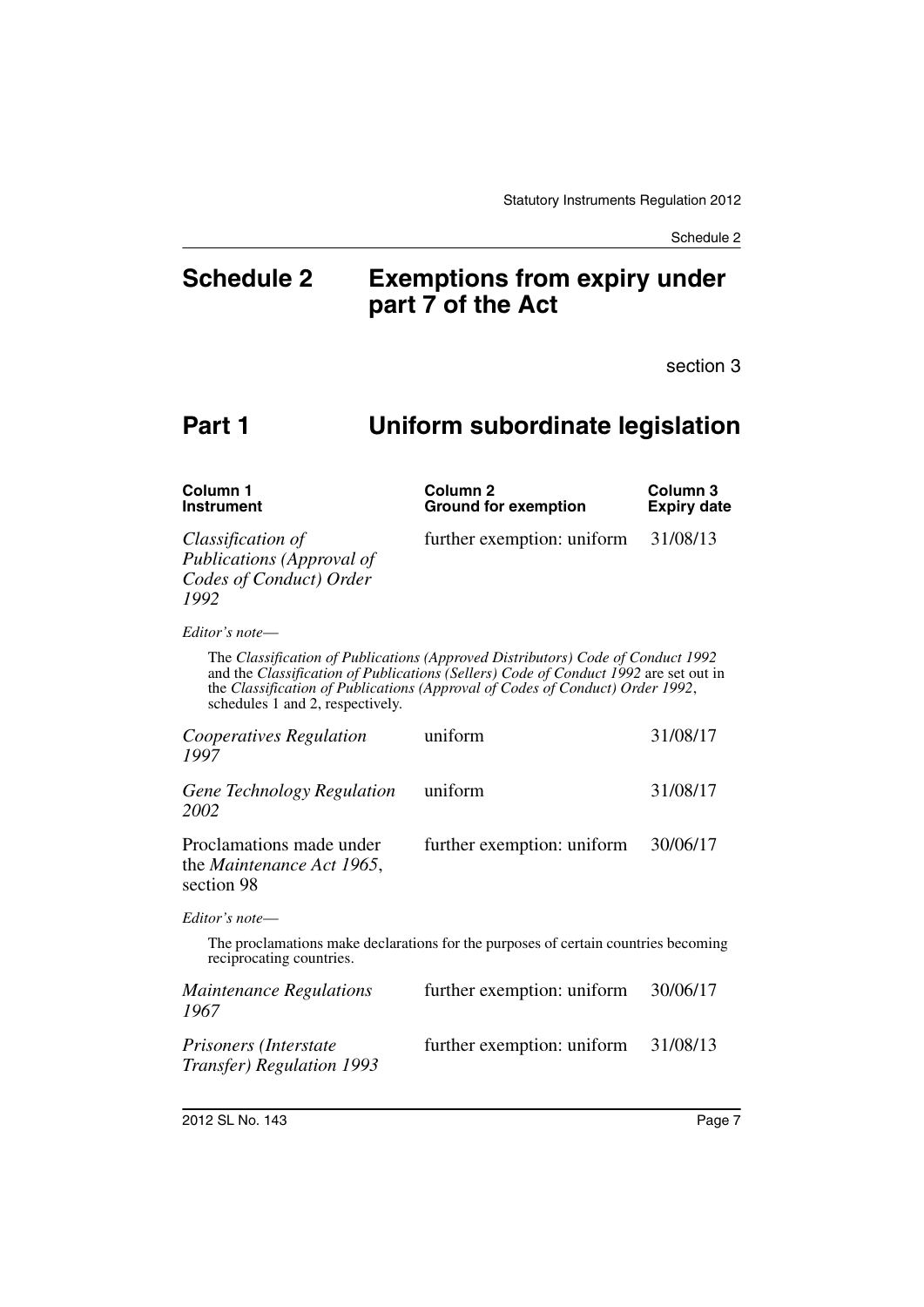### <span id="page-6-0"></span>**Schedule 2 Exemptions from expiry under part 7 of the Act**

section 3

### **Part 1 Uniform subordinate legislation**

| Column 1<br><b>Instrument</b>                                                            | Column <sub>2</sub><br><b>Ground for exemption</b>                                                                                                                                                                                                       | Column 3<br><b>Expiry date</b> |
|------------------------------------------------------------------------------------------|----------------------------------------------------------------------------------------------------------------------------------------------------------------------------------------------------------------------------------------------------------|--------------------------------|
| Classification of<br><b>Publications</b> (Approval of<br>Codes of Conduct) Order<br>1992 | further exemption: uniform                                                                                                                                                                                                                               | 31/08/13                       |
| Editor's note-                                                                           |                                                                                                                                                                                                                                                          |                                |
| schedules 1 and 2, respectively.                                                         | The Classification of Publications (Approved Distributors) Code of Conduct 1992<br>and the Classification of Publications (Sellers) Code of Conduct 1992 are set out in<br>the Classification of Publications (Approval of Codes of Conduct) Order 1992, |                                |
| Cooperatives Regulation<br>1997                                                          | uniform                                                                                                                                                                                                                                                  | 31/08/17                       |
| Gene Technology Regulation<br>2002                                                       | uniform                                                                                                                                                                                                                                                  | 31/08/17                       |
| Proclamations made under<br>the <i>Maintenance Act 1965</i> ,<br>section 98              | further exemption: uniform                                                                                                                                                                                                                               | 30/06/17                       |
| Editor's note-                                                                           |                                                                                                                                                                                                                                                          |                                |
| reciprocating countries.                                                                 | The proclamations make declarations for the purposes of certain countries becoming                                                                                                                                                                       |                                |
| <b>Maintenance Regulations</b><br>1967                                                   | further exemption: uniform                                                                                                                                                                                                                               | 30/06/17                       |
| Prisoners (Interstate                                                                    | further exemption: uniform                                                                                                                                                                                                                               | 31/08/13                       |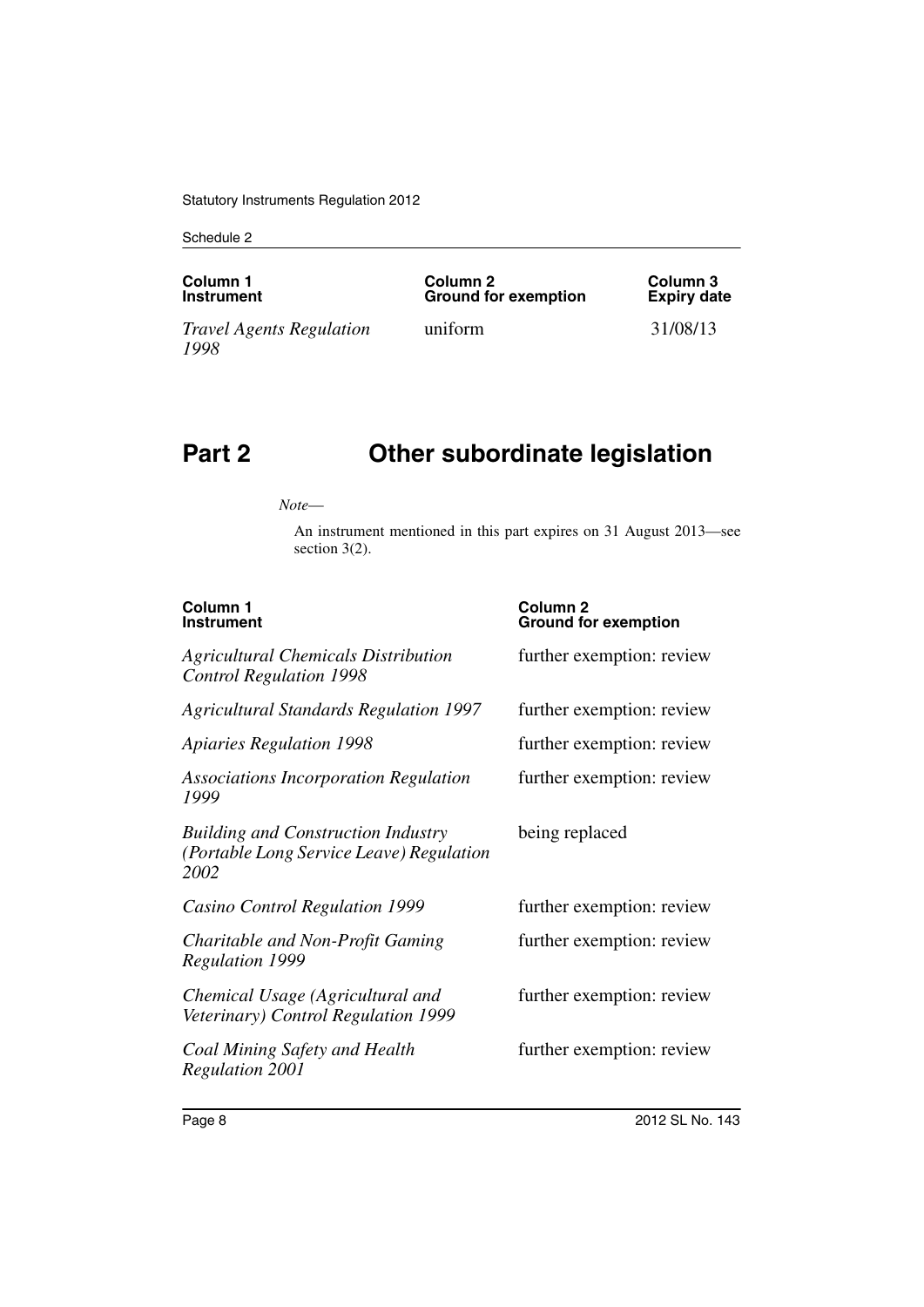| Column 1                                | Column 2                    | Column 3           |
|-----------------------------------------|-----------------------------|--------------------|
| <b>Instrument</b>                       | <b>Ground for exemption</b> | <b>Expiry date</b> |
| <i>Travel Agents Regulation</i><br>1998 | uniform                     | 31/08/13           |

# **Part 2 Other subordinate legislation**

*Note*—

An instrument mentioned in this part expires on 31 August 2013—see section 3(2).

| Column <sub>1</sub><br><b>Instrument</b>                                                      | Column <sub>2</sub><br><b>Ground for exemption</b> |
|-----------------------------------------------------------------------------------------------|----------------------------------------------------|
| <b>Agricultural Chemicals Distribution</b><br><b>Control Regulation 1998</b>                  | further exemption: review                          |
| <b>Agricultural Standards Regulation 1997</b>                                                 | further exemption: review                          |
| <b>Apiaries Regulation 1998</b>                                                               | further exemption: review                          |
| <b>Associations Incorporation Regulation</b><br>1999                                          | further exemption: review                          |
| <b>Building and Construction Industry</b><br>(Portable Long Service Leave) Regulation<br>2002 | being replaced                                     |
| Casino Control Regulation 1999                                                                | further exemption: review                          |
| Charitable and Non-Profit Gaming<br><b>Regulation 1999</b>                                    | further exemption: review                          |
| Chemical Usage (Agricultural and<br>Veterinary) Control Regulation 1999                       | further exemption: review                          |
| Coal Mining Safety and Health<br><b>Regulation 2001</b>                                       | further exemption: review                          |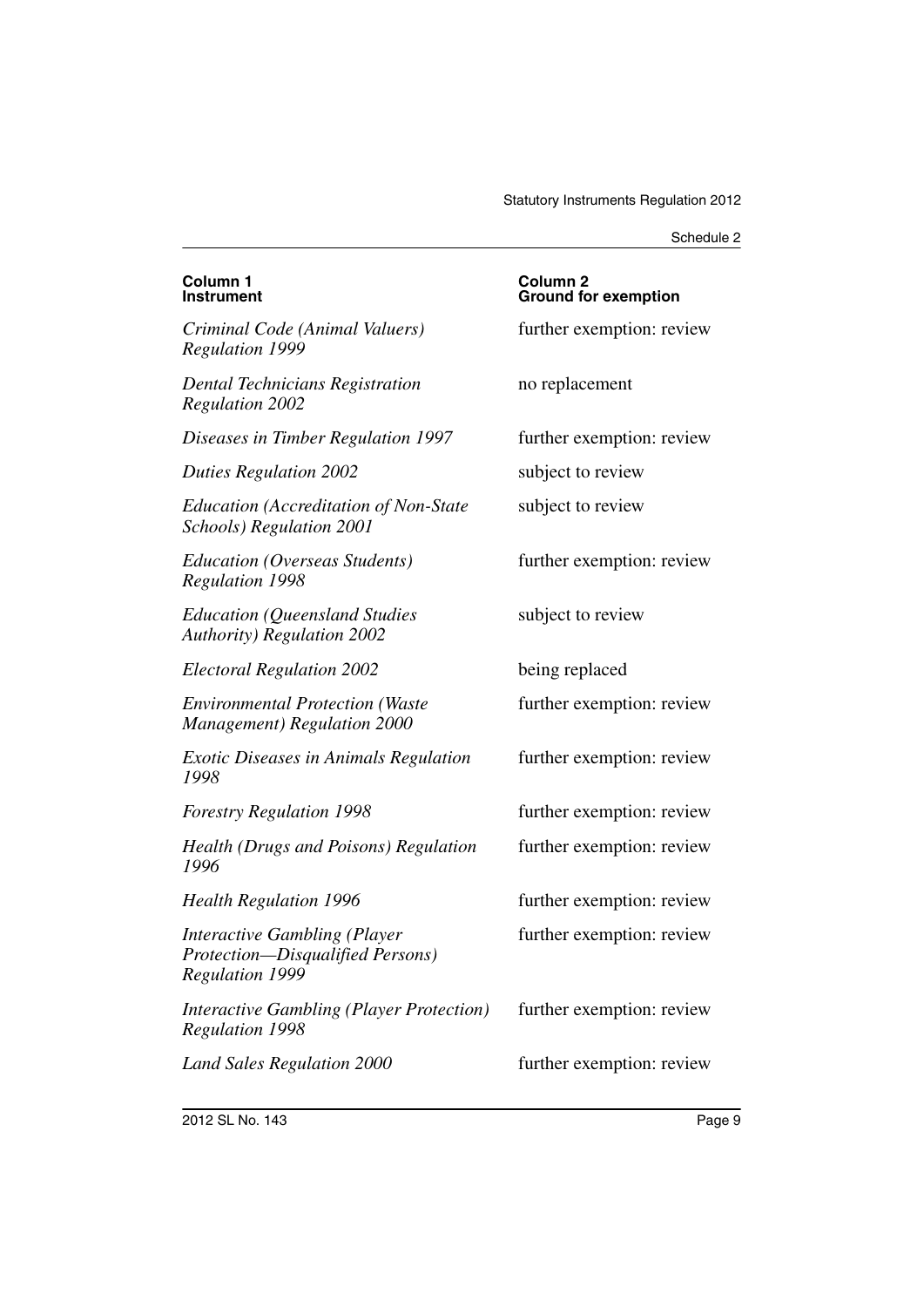| Column 1<br><b>Instrument</b>                                                                     | Column <sub>2</sub><br><b>Ground for exemption</b> |
|---------------------------------------------------------------------------------------------------|----------------------------------------------------|
| Criminal Code (Animal Valuers)<br><b>Regulation 1999</b>                                          | further exemption: review                          |
| <b>Dental Technicians Registration</b><br><b>Regulation 2002</b>                                  | no replacement                                     |
| Diseases in Timber Regulation 1997                                                                | further exemption: review                          |
| <b>Duties Regulation 2002</b>                                                                     | subject to review                                  |
| <b>Education (Accreditation of Non-State</b><br>Schools) Regulation 2001                          | subject to review                                  |
| Education (Overseas Students)<br><b>Regulation 1998</b>                                           | further exemption: review                          |
| <b>Education (Queensland Studies</b><br><b>Authority) Regulation 2002</b>                         | subject to review                                  |
| <b>Electoral Regulation 2002</b>                                                                  | being replaced                                     |
| <b>Environmental Protection (Waste</b><br><b>Management</b> ) Regulation 2000                     | further exemption: review                          |
| <b>Exotic Diseases in Animals Regulation</b><br>1998                                              | further exemption: review                          |
| <b>Forestry Regulation 1998</b>                                                                   | further exemption: review                          |
| Health (Drugs and Poisons) Regulation<br>1996                                                     | further exemption: review                          |
| <b>Health Regulation 1996</b>                                                                     | further exemption: review                          |
| <b>Interactive Gambling (Player</b><br>Protection-Disqualified Persons)<br><b>Regulation 1999</b> | further exemption: review                          |
| <b>Interactive Gambling (Player Protection)</b><br><b>Regulation 1998</b>                         | further exemption: review                          |
| <b>Land Sales Regulation 2000</b>                                                                 | further exemption: review                          |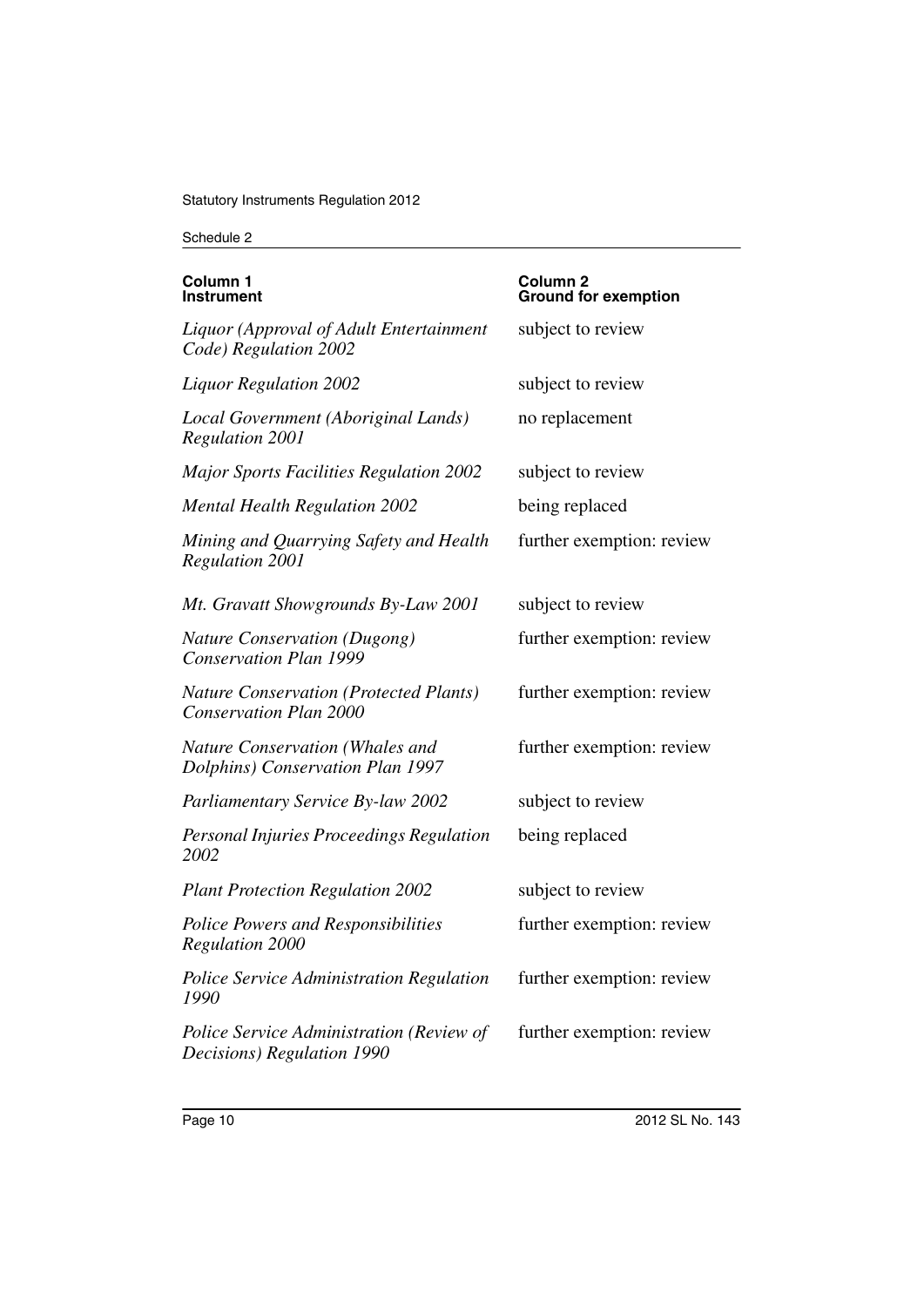| Column 1<br>Instrument                                                         | Column 2<br><b>Ground for exemption</b> |
|--------------------------------------------------------------------------------|-----------------------------------------|
| Liquor (Approval of Adult Entertainment<br>Code) Regulation 2002               | subject to review                       |
| <b>Liquor Regulation 2002</b>                                                  | subject to review                       |
| Local Government (Aboriginal Lands)<br><b>Regulation 2001</b>                  | no replacement                          |
| <b>Major Sports Facilities Regulation 2002</b>                                 | subject to review                       |
| <b>Mental Health Regulation 2002</b>                                           | being replaced                          |
| Mining and Quarrying Safety and Health<br><b>Regulation 2001</b>               | further exemption: review               |
| Mt. Gravatt Showgrounds By-Law 2001                                            | subject to review                       |
| <b>Nature Conservation (Dugong)</b><br><b>Conservation Plan 1999</b>           | further exemption: review               |
| <b>Nature Conservation (Protected Plants)</b><br><b>Conservation Plan 2000</b> | further exemption: review               |
| Nature Conservation (Whales and<br>Dolphins) Conservation Plan 1997            | further exemption: review               |
| <b>Parliamentary Service By-law 2002</b>                                       | subject to review                       |
| Personal Injuries Proceedings Regulation<br>2002                               | being replaced                          |
| <b>Plant Protection Regulation 2002</b>                                        | subject to review                       |
| Police Powers and Responsibilities<br><b>Regulation 2000</b>                   | further exemption: review               |
| Police Service Administration Regulation<br>1990                               | further exemption: review               |
| Police Service Administration (Review of<br>Decisions) Regulation 1990         | further exemption: review               |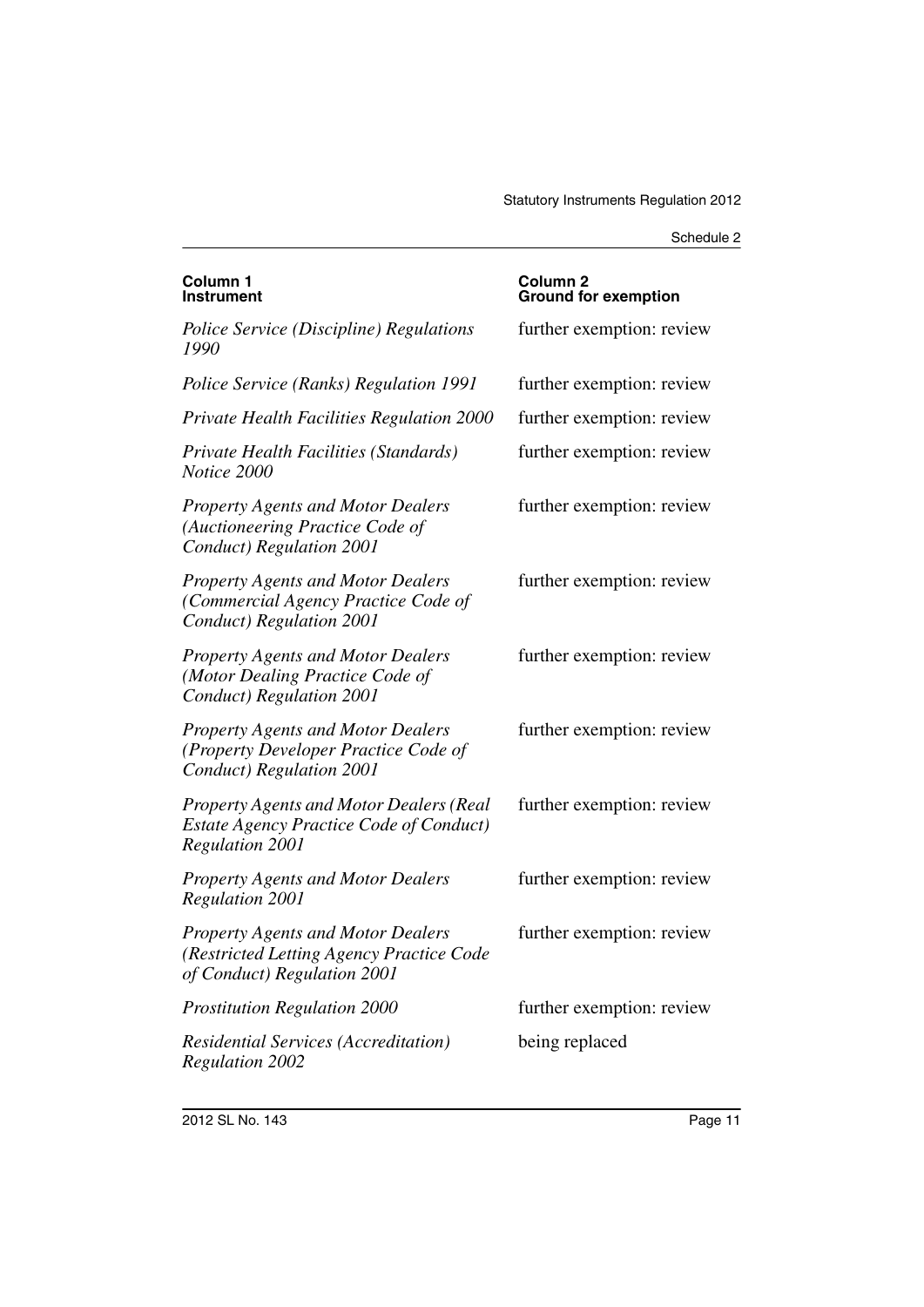| Column 1<br>Instrument                                                                                                     | Column <sub>2</sub><br><b>Ground for exemption</b> |
|----------------------------------------------------------------------------------------------------------------------------|----------------------------------------------------|
| Police Service (Discipline) Regulations<br>1990                                                                            | further exemption: review                          |
| Police Service (Ranks) Regulation 1991                                                                                     | further exemption: review                          |
| <b>Private Health Facilities Regulation 2000</b>                                                                           | further exemption: review                          |
| Private Health Facilities (Standards)<br>Notice 2000                                                                       | further exemption: review                          |
| <b>Property Agents and Motor Dealers</b><br>(Auctioneering Practice Code of<br>Conduct) Regulation 2001                    | further exemption: review                          |
| <b>Property Agents and Motor Dealers</b><br>(Commercial Agency Practice Code of<br>Conduct) Regulation 2001                | further exemption: review                          |
| <b>Property Agents and Motor Dealers</b><br>(Motor Dealing Practice Code of<br>Conduct) Regulation 2001                    | further exemption: review                          |
| <b>Property Agents and Motor Dealers</b><br>(Property Developer Practice Code of<br>Conduct) Regulation 2001               | further exemption: review                          |
| <b>Property Agents and Motor Dealers (Real</b><br><b>Estate Agency Practice Code of Conduct)</b><br><b>Regulation 2001</b> | further exemption: review                          |
| <b>Property Agents and Motor Dealers</b><br><b>Regulation 2001</b>                                                         | further exemption: review                          |
| <b>Property Agents and Motor Dealers</b><br>(Restricted Letting Agency Practice Code<br>of Conduct) Regulation 2001        | further exemption: review                          |
| <b>Prostitution Regulation 2000</b>                                                                                        | further exemption: review                          |
| <b>Residential Services (Accreditation)</b><br><b>Regulation 2002</b>                                                      | being replaced                                     |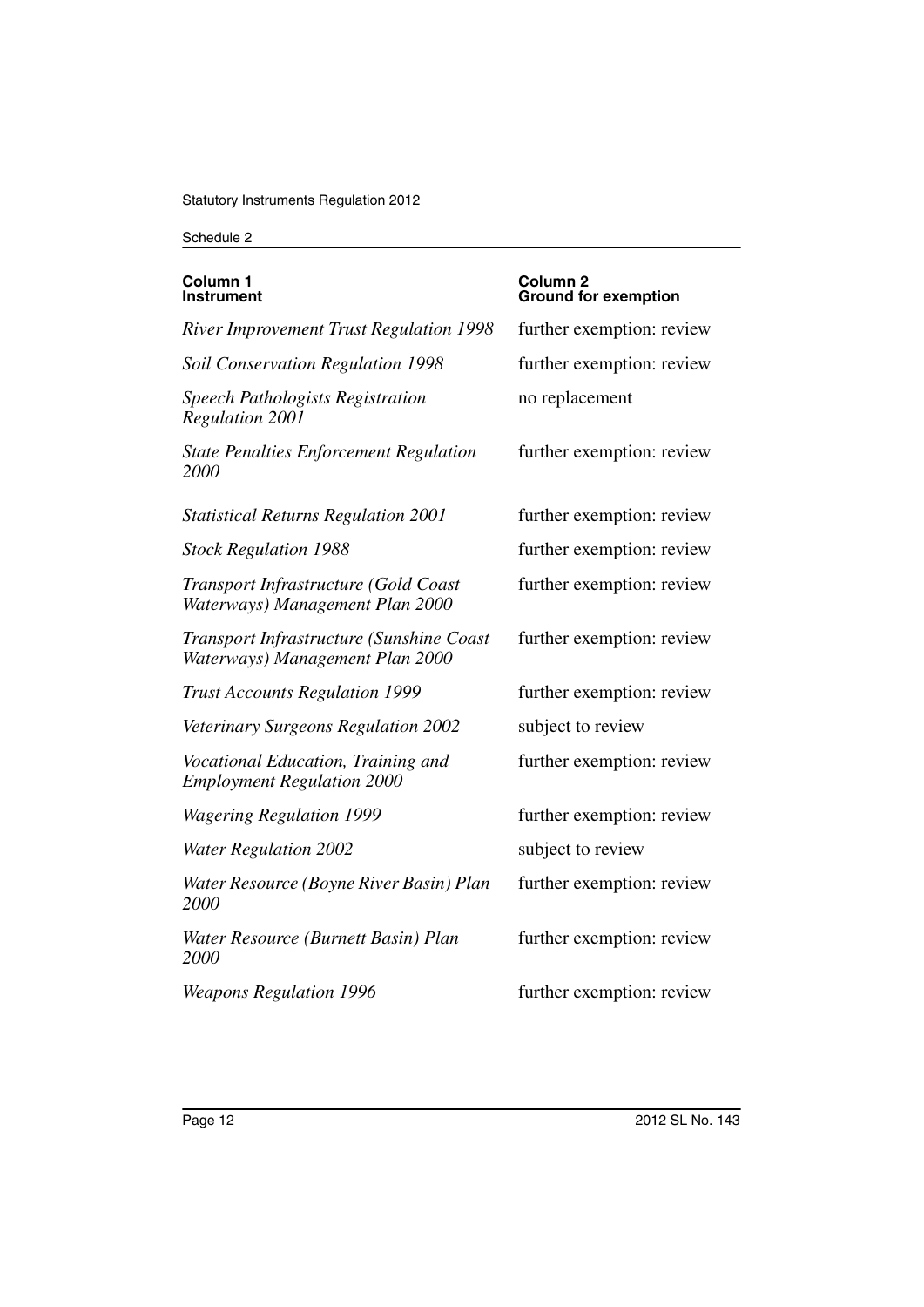| Column 1<br>Instrument                                                      | Column 2<br><b>Ground for exemption</b> |
|-----------------------------------------------------------------------------|-----------------------------------------|
| <b>River Improvement Trust Regulation 1998</b>                              | further exemption: review               |
| <b>Soil Conservation Regulation 1998</b>                                    | further exemption: review               |
| <b>Speech Pathologists Registration</b><br><b>Regulation 2001</b>           | no replacement                          |
| <b>State Penalties Enforcement Regulation</b><br>2000                       | further exemption: review               |
| <b>Statistical Returns Regulation 2001</b>                                  | further exemption: review               |
| <b>Stock Regulation 1988</b>                                                | further exemption: review               |
| Transport Infrastructure (Gold Coast<br>Waterways) Management Plan 2000     | further exemption: review               |
| Transport Infrastructure (Sunshine Coast<br>Waterways) Management Plan 2000 | further exemption: review               |
| <b>Trust Accounts Regulation 1999</b>                                       | further exemption: review               |
| Veterinary Surgeons Regulation 2002                                         | subject to review                       |
| Vocational Education, Training and<br><b>Employment Regulation 2000</b>     | further exemption: review               |
| <b>Wagering Regulation 1999</b>                                             | further exemption: review               |
| <b>Water Regulation 2002</b>                                                | subject to review                       |
| Water Resource (Boyne River Basin) Plan<br>2000                             | further exemption: review               |
| Water Resource (Burnett Basin) Plan<br>2000                                 | further exemption: review               |
| <b>Weapons Regulation 1996</b>                                              | further exemption: review               |